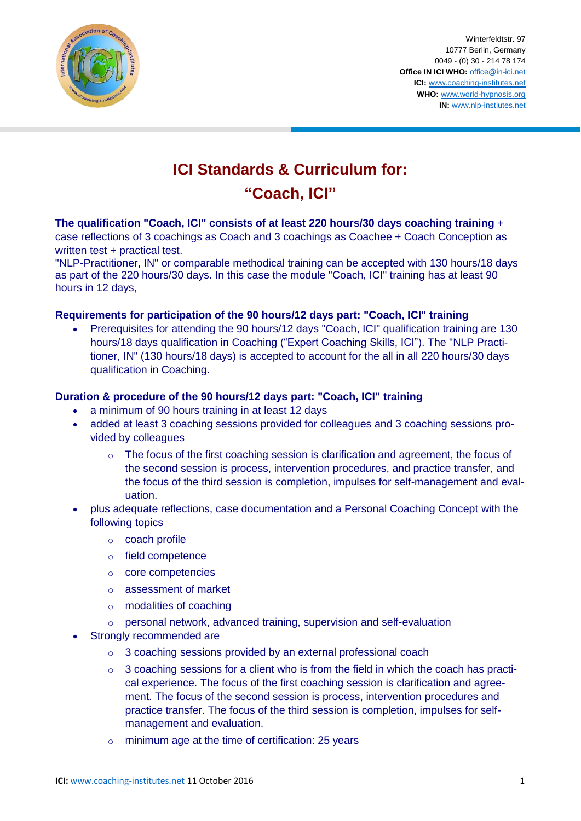

Winterfeldtstr. 97 10777 Berlin, Germany 0049 - (0) 30 - 214 78 174 **Office IN ICI WHO:** [office@in-ici.net](mailto:office@in-ici.net) **ICI:** [www.coaching-institutes.net](http://www.coaching-institutes.net/) **WHO:** [www.world-hypnosis.org](http://www.world-hypnosis.org/) **IN:** [www.nlp-instiutes.net](http://www.nlp-instiutes.net/)

# **ICI Standards & Curriculum for:**

# **"Coach, ICI"**

**The qualification "Coach, ICI" consists of at least 220 hours/30 days coaching training** + case reflections of 3 coachings as Coach and 3 coachings as Coachee + Coach Conception as written test + practical test.

"NLP-Practitioner, IN" or comparable methodical training can be accepted with 130 hours/18 days as part of the 220 hours/30 days. In this case the module "Coach, ICI" training has at least 90 hours in 12 days,

# **Requirements for participation of the 90 hours/12 days part: "Coach, ICI" training**

 Prerequisites for attending the 90 hours/12 days "Coach, ICI" qualification training are 130 hours/18 days qualification in Coaching ("Expert Coaching Skills, ICI"). The "NLP Practitioner, IN" (130 hours/18 days) is accepted to account for the all in all 220 hours/30 days qualification in Coaching.

### **Duration & procedure of the 90 hours/12 days part: "Coach, ICI" training**

- a minimum of 90 hours training in at least 12 days
- added at least 3 coaching sessions provided for colleagues and 3 coaching sessions provided by colleagues
	- o The focus of the first coaching session is clarification and agreement, the focus of the second session is process, intervention procedures, and practice transfer, and the focus of the third session is completion, impulses for self-management and evaluation.
- plus adequate reflections, case documentation and a Personal Coaching Concept with the following topics
	- o coach profile
	- o field competence
	- o core competencies
	- o assessment of market
	- o modalities of coaching
	- o personal network, advanced training, supervision and self-evaluation
- Strongly recommended are
	- o 3 coaching sessions provided by an external professional coach
	- $\circ$  3 coaching sessions for a client who is from the field in which the coach has practical experience. The focus of the first coaching session is clarification and agreement. The focus of the second session is process, intervention procedures and practice transfer. The focus of the third session is completion, impulses for selfmanagement and evaluation.
	- o minimum age at the time of certification: 25 years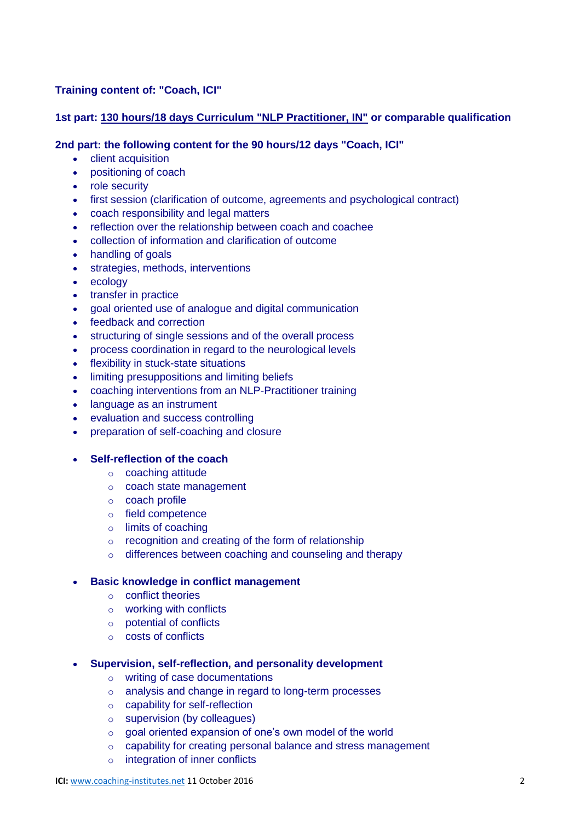# **Training content of: "Coach, ICI"**

### **1st part: [130 hours/18 days Curriculum "NLP Practitioner, IN"](http://www.nlp-institutes.net/standards/practitionercert.php) or comparable qualification**

#### **2nd part: the following content for the 90 hours/12 days "Coach, ICI"**

- **client acquisition**
- positioning of coach
- role security
- first session (clarification of outcome, agreements and psychological contract)
- coach responsibility and legal matters
- reflection over the relationship between coach and coachee
- collection of information and clarification of outcome
- handling of goals
- strategies, methods, interventions
- ecology
- transfer in practice
- goal oriented use of analogue and digital communication
- feedback and correction
- structuring of single sessions and of the overall process
- process coordination in regard to the neurological levels
- flexibility in stuck-state situations
- limiting presuppositions and limiting beliefs
- coaching interventions from an NLP-Practitioner training
- language as an instrument
- evaluation and success controlling
- preparation of self-coaching and closure
- **Self-reflection of the coach**
	- o coaching attitude
	- o coach state management
	- o coach profile
	- o field competence
	- o limits of coaching
	- o recognition and creating of the form of relationship
	- o differences between coaching and counseling and therapy

#### **Basic knowledge in conflict management**

- o conflict theories
- o working with conflicts
- o potential of conflicts
- o costs of conflicts

#### **Supervision, self-reflection, and personality development**

- o writing of case documentations
- o analysis and change in regard to long-term processes
- o capability for self-reflection
- o supervision (by colleagues)
- $\circ$  goal oriented expansion of one's own model of the world
- o capability for creating personal balance and stress management
- o integration of inner conflicts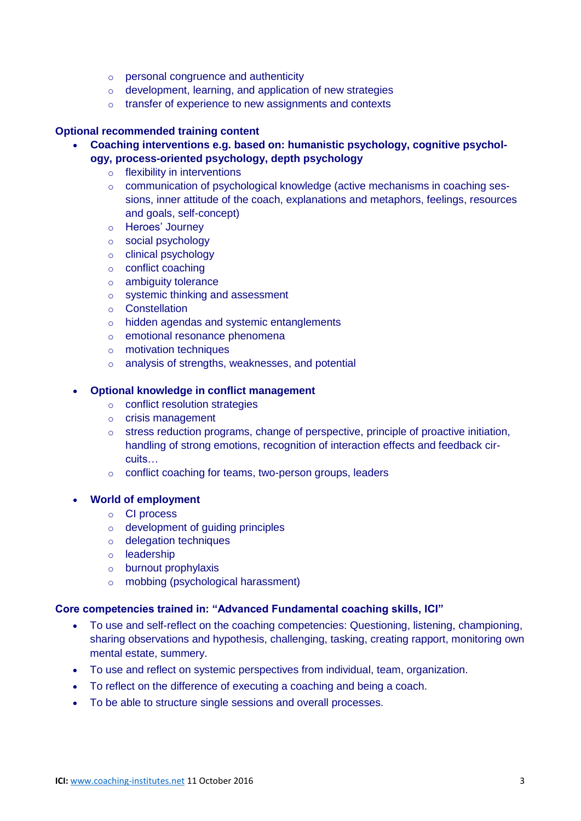- o personal congruence and authenticity
- o development, learning, and application of new strategies
- o transfer of experience to new assignments and contexts

#### **Optional recommended training content**

- **Coaching interventions e.g. based on: humanistic psychology, cognitive psychology, process-oriented psychology, depth psychology**
	- o flexibility in interventions
	- o communication of psychological knowledge (active mechanisms in coaching sessions, inner attitude of the coach, explanations and metaphors, feelings, resources and goals, self-concept)
	- o Heroes' Journey
	- o social psychology
	- o clinical psychology
	- o conflict coaching
	- o ambiguity tolerance
	- o systemic thinking and assessment
	- o Constellation
	- o hidden agendas and systemic entanglements
	- o emotional resonance phenomena
	- $\circ$  motivation techniques
	- o analysis of strengths, weaknesses, and potential

#### **Optional knowledge in conflict management**

- o conflict resolution strategies
- o crisis management
- o stress reduction programs, change of perspective, principle of proactive initiation, handling of strong emotions, recognition of interaction effects and feedback circuits…
- o conflict coaching for teams, two-person groups, leaders

#### **World of employment**

- o CI process
- o development of guiding principles
- o delegation techniques
- o leadership
- o burnout prophylaxis
- o mobbing (psychological harassment)

#### **Core competencies trained in: "Advanced Fundamental coaching skills, ICI"**

- To use and self-reflect on the coaching competencies: Questioning, listening, championing, sharing observations and hypothesis, challenging, tasking, creating rapport, monitoring own mental estate, summery.
- To use and reflect on systemic perspectives from individual, team, organization.
- To reflect on the difference of executing a coaching and being a coach.
- To be able to structure single sessions and overall processes.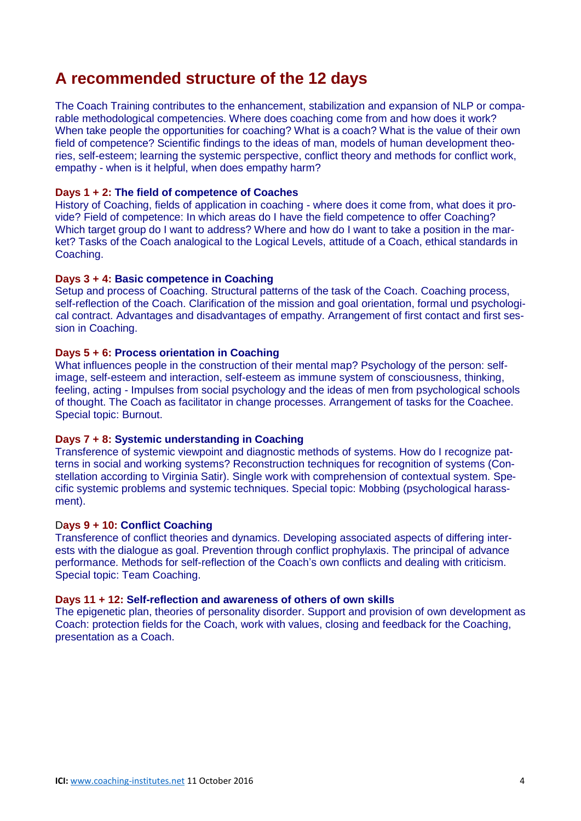# **A recommended structure of the 12 days**

The Coach Training contributes to the enhancement, stabilization and expansion of NLP or comparable methodological competencies. Where does coaching come from and how does it work? When take people the opportunities for coaching? What is a coach? What is the value of their own field of competence? Scientific findings to the ideas of man, models of human development theories, self-esteem; learning the systemic perspective, conflict theory and methods for conflict work, empathy - when is it helpful, when does empathy harm?

#### **Days 1 + 2: The field of competence of Coaches**

History of Coaching, fields of application in coaching - where does it come from, what does it provide? Field of competence: In which areas do I have the field competence to offer Coaching? Which target group do I want to address? Where and how do I want to take a position in the market? Tasks of the Coach analogical to the Logical Levels, attitude of a Coach, ethical standards in Coaching.

#### **Days 3 + 4: Basic competence in Coaching**

Setup and process of Coaching. Structural patterns of the task of the Coach. Coaching process, self-reflection of the Coach. Clarification of the mission and goal orientation, formal und psychological contract. Advantages and disadvantages of empathy. Arrangement of first contact and first session in Coaching.

#### **Days 5 + 6: Process orientation in Coaching**

What influences people in the construction of their mental map? Psychology of the person: selfimage, self-esteem and interaction, self-esteem as immune system of consciousness, thinking, feeling, acting - Impulses from social psychology and the ideas of men from psychological schools of thought. The Coach as facilitator in change processes. Arrangement of tasks for the Coachee. Special topic: Burnout.

#### **Days 7 + 8: Systemic understanding in Coaching**

Transference of systemic viewpoint and diagnostic methods of systems. How do I recognize patterns in social and working systems? Reconstruction techniques for recognition of systems (Constellation according to Virginia Satir). Single work with comprehension of contextual system. Specific systemic problems and systemic techniques. Special topic: Mobbing (psychological harassment).

#### D**ays 9 + 10: Conflict Coaching**

Transference of conflict theories and dynamics. Developing associated aspects of differing interests with the dialogue as goal. Prevention through conflict prophylaxis. The principal of advance performance. Methods for self-reflection of the Coach's own conflicts and dealing with criticism. Special topic: Team Coaching.

#### **Days 11 + 12: Self-reflection and awareness of others of own skills**

The epigenetic plan, theories of personality disorder. Support and provision of own development as Coach: protection fields for the Coach, work with values, closing and feedback for the Coaching, presentation as a Coach.